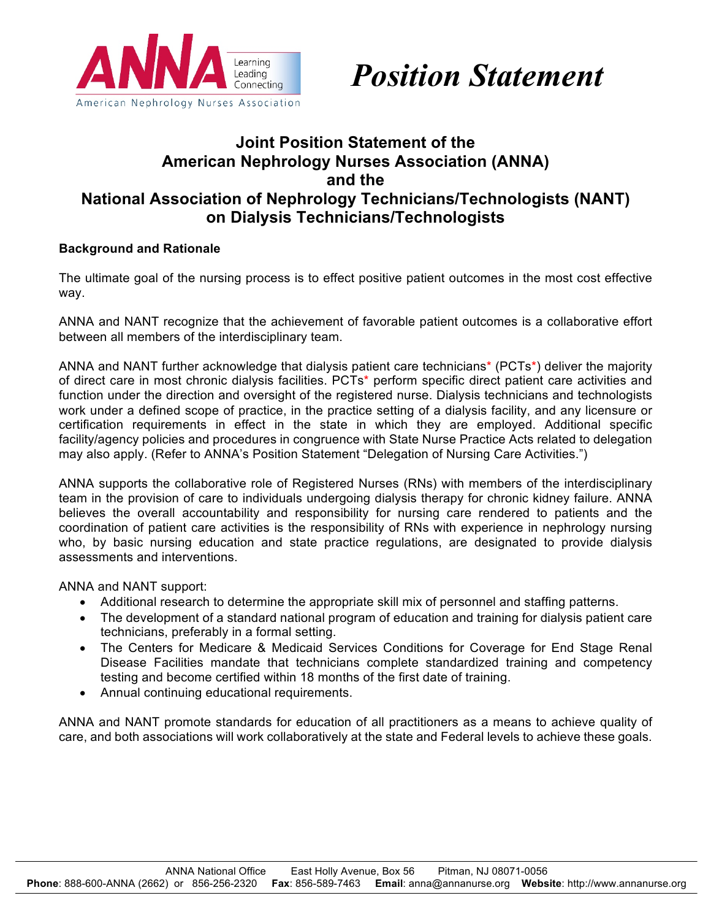



## **Joint Position Statement of the American Nephrology Nurses Association (ANNA) and the National Association of Nephrology Technicians/Technologists (NANT) on Dialysis Technicians/Technologists**

## **Background and Rationale**

The ultimate goal of the nursing process is to effect positive patient outcomes in the most cost effective way.

ANNA and NANT recognize that the achievement of favorable patient outcomes is a collaborative effort between all members of the interdisciplinary team.

ANNA and NANT further acknowledge that dialysis patient care technicians\* (PCTs\*) deliver the majority of direct care in most chronic dialysis facilities. PCTs\* perform specific direct patient care activities and function under the direction and oversight of the registered nurse. Dialysis technicians and technologists work under a defined scope of practice, in the practice setting of a dialysis facility, and any licensure or certification requirements in effect in the state in which they are employed. Additional specific facility/agency policies and procedures in congruence with State Nurse Practice Acts related to delegation may also apply. (Refer to ANNA's Position Statement "Delegation of Nursing Care Activities.")

ANNA supports the collaborative role of Registered Nurses (RNs) with members of the interdisciplinary team in the provision of care to individuals undergoing dialysis therapy for chronic kidney failure. ANNA believes the overall accountability and responsibility for nursing care rendered to patients and the coordination of patient care activities is the responsibility of RNs with experience in nephrology nursing who, by basic nursing education and state practice regulations, are designated to provide dialysis assessments and interventions.

ANNA and NANT support:

- Additional research to determine the appropriate skill mix of personnel and staffing patterns.
- The development of a standard national program of education and training for dialysis patient care technicians, preferably in a formal setting.
- The Centers for Medicare & Medicaid Services Conditions for Coverage for End Stage Renal Disease Facilities mandate that technicians complete standardized training and competency testing and become certified within 18 months of the first date of training.
- Annual continuing educational requirements.

ANNA and NANT promote standards for education of all practitioners as a means to achieve quality of care, and both associations will work collaboratively at the state and Federal levels to achieve these goals.